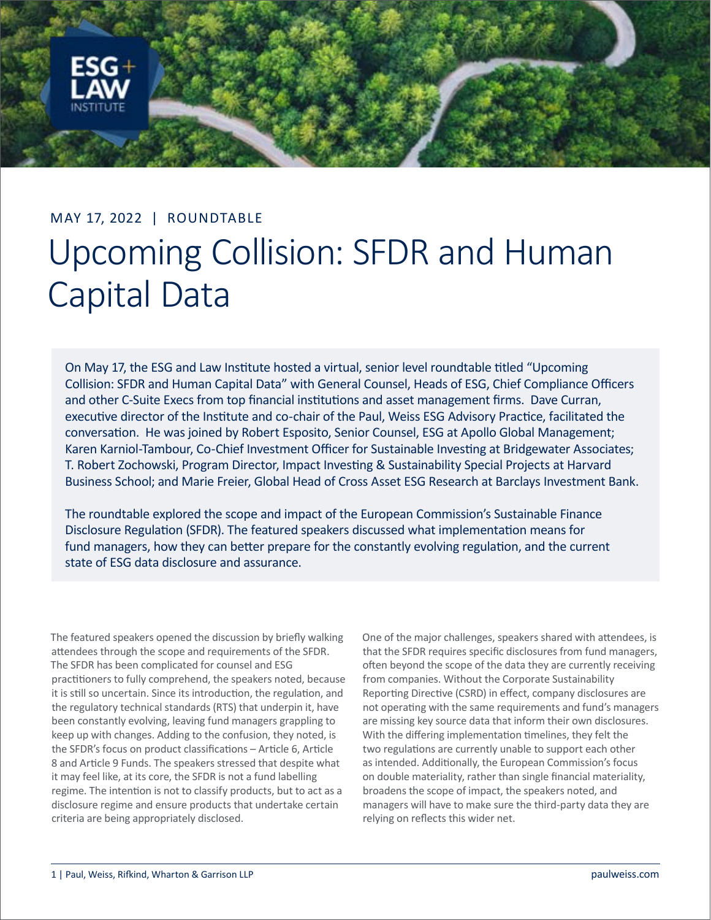

## MAY 17, 2022 | ROUNDTABLE Upcoming Collision: SFDR and Human Capital Data

On May 17, the ESG and Law Institute hosted a virtual, senior level roundtable titled "Upcoming Collision: SFDR and Human Capital Data" with General Counsel, Heads of ESG, Chief Compliance Officers and other C-Suite Execs from top financial institutions and asset management firms. Dave Curran, executive director of the Institute and co-chair of the Paul, Weiss ESG Advisory Practice, facilitated the conversation. He was joined by Robert Esposito, Senior Counsel, ESG at Apollo Global Management; Karen Karniol-Tambour, Co-Chief Investment Officer for Sustainable Investing at Bridgewater Associates; T. Robert Zochowski, Program Director, Impact Investing & Sustainability Special Projects at Harvard Business School; and Marie Freier, Global Head of Cross Asset ESG Research at Barclays Investment Bank.

The roundtable explored the scope and impact of the European Commission's Sustainable Finance Disclosure Regulation (SFDR). The featured speakers discussed what implementation means for fund managers, how they can better prepare for the constantly evolving regulation, and the current state of ESG data disclosure and assurance.

The featured speakers opened the discussion by briefly walking attendees through the scope and requirements of the SFDR. The SFDR has been complicated for counsel and ESG practitioners to fully comprehend, the speakers noted, because it is still so uncertain. Since its introduction, the regulation, and the regulatory technical standards (RTS) that underpin it, have been constantly evolving, leaving fund managers grappling to keep up with changes. Adding to the confusion, they noted, is the SFDR's focus on product classifications – Article 6, Article 8 and Article 9 Funds. The speakers stressed that despite what it may feel like, at its core, the SFDR is not a fund labelling regime. The intention is not to classify products, but to act as a disclosure regime and ensure products that undertake certain criteria are being appropriately disclosed.

One of the major challenges, speakers shared with attendees, is that the SFDR requires specific disclosures from fund managers, often beyond the scope of the data they are currently receiving from companies. Without the Corporate Sustainability Reporting Directive (CSRD) in effect, company disclosures are not operating with the same requirements and fund's managers are missing key source data that inform their own disclosures. With the differing implementation timelines, they felt the two regulations are currently unable to support each other as intended. Additionally, the European Commission's focus on double materiality, rather than single financial materiality, broadens the scope of impact, the speakers noted, and managers will have to make sure the third-party data they are relying on reflects this wider net.